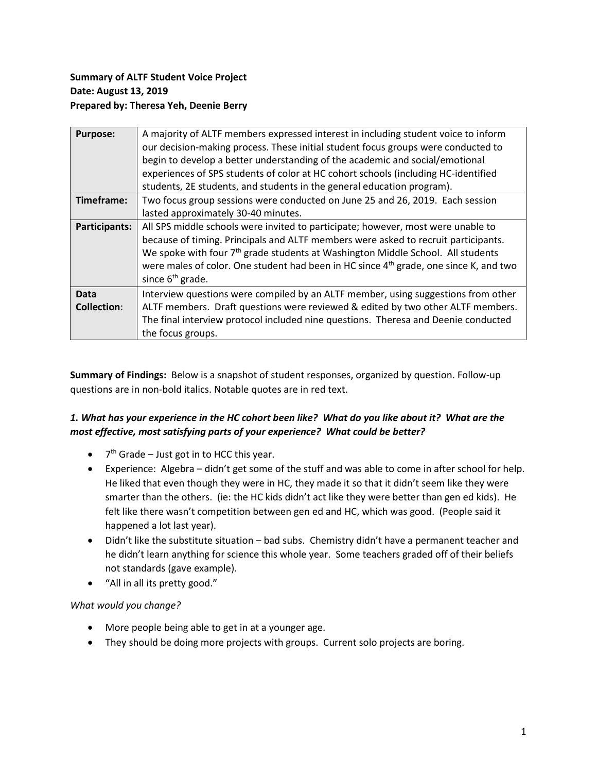## **Summary of ALTF Student Voice Project Date: August 13, 2019 Prepared by: Theresa Yeh, Deenie Berry**

| A majority of ALTF members expressed interest in including student voice to inform                |
|---------------------------------------------------------------------------------------------------|
| our decision-making process. These initial student focus groups were conducted to                 |
| begin to develop a better understanding of the academic and social/emotional                      |
| experiences of SPS students of color at HC cohort schools (including HC-identified                |
| students, 2E students, and students in the general education program).                            |
| Two focus group sessions were conducted on June 25 and 26, 2019. Each session                     |
| lasted approximately 30-40 minutes.                                                               |
| All SPS middle schools were invited to participate; however, most were unable to                  |
| because of timing. Principals and ALTF members were asked to recruit participants.                |
| We spoke with four 7 <sup>th</sup> grade students at Washington Middle School. All students       |
| were males of color. One student had been in HC since 4 <sup>th</sup> grade, one since K, and two |
| since 6 <sup>th</sup> grade.                                                                      |
| Interview questions were compiled by an ALTF member, using suggestions from other                 |
| ALTF members. Draft questions were reviewed & edited by two other ALTF members.                   |
| The final interview protocol included nine questions. Theresa and Deenie conducted                |
| the focus groups.                                                                                 |
|                                                                                                   |

**Summary of Findings:** Below is a snapshot of student responses, organized by question. Follow-up questions are in non-bold italics. Notable quotes are in red text.

# *1. What has your experience in the HC cohort been like? What do you like about it? What are the most effective, most satisfying parts of your experience? What could be better?*

- $\bullet$  7<sup>th</sup> Grade Just got in to HCC this year.
- Experience: Algebra didn't get some of the stuff and was able to come in after school for help. He liked that even though they were in HC, they made it so that it didn't seem like they were smarter than the others. (ie: the HC kids didn't act like they were better than gen ed kids). He felt like there wasn't competition between gen ed and HC, which was good. (People said it happened a lot last year).
- Didn't like the substitute situation bad subs. Chemistry didn't have a permanent teacher and he didn't learn anything for science this whole year. Some teachers graded off of their beliefs not standards (gave example).
- "All in all its pretty good."

#### *What would you change?*

- More people being able to get in at a younger age.
- They should be doing more projects with groups. Current solo projects are boring.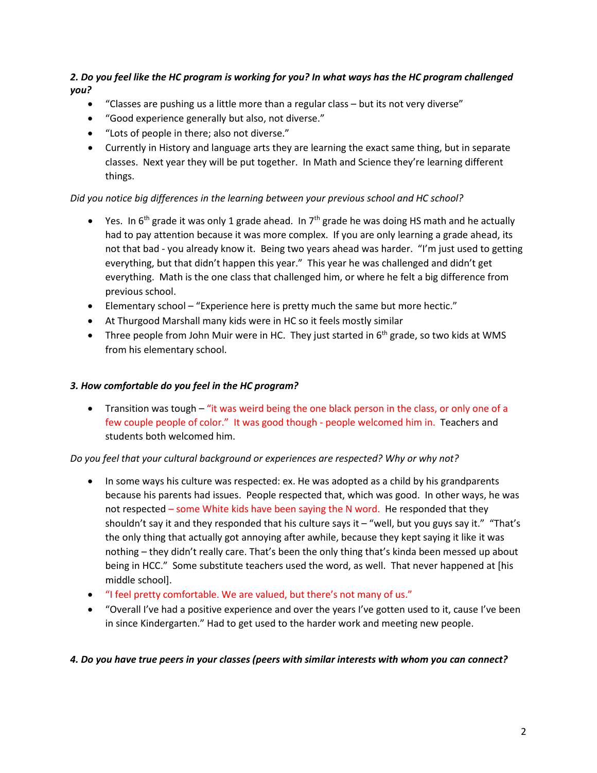## *2. Do you feel like the HC program is working for you? In what ways has the HC program challenged you?*

- "Classes are pushing us a little more than a regular class but its not very diverse"
- "Good experience generally but also, not diverse."
- "Lots of people in there; also not diverse."
- Currently in History and language arts they are learning the exact same thing, but in separate classes. Next year they will be put together. In Math and Science they're learning different things.

### *Did you notice big differences in the learning between your previous school and HC school?*

- Yes. In 6<sup>th</sup> grade it was only 1 grade ahead. In 7<sup>th</sup> grade he was doing HS math and he actually had to pay attention because it was more complex. If you are only learning a grade ahead, its not that bad - you already know it. Being two years ahead was harder. "I'm just used to getting everything, but that didn't happen this year." This year he was challenged and didn't get everything. Math is the one class that challenged him, or where he felt a big difference from previous school.
- Elementary school "Experience here is pretty much the same but more hectic."
- At Thurgood Marshall many kids were in HC so it feels mostly similar
- Three people from John Muir were in HC. They just started in  $6<sup>th</sup>$  grade, so two kids at WMS from his elementary school.

#### *3. How comfortable do you feel in the HC program?*

• Transition was tough – "it was weird being the one black person in the class, or only one of a few couple people of color." It was good though - people welcomed him in. Teachers and students both welcomed him.

#### *Do you feel that your cultural background or experiences are respected? Why or why not?*

- In some ways his culture was respected: ex. He was adopted as a child by his grandparents because his parents had issues. People respected that, which was good. In other ways, he was not respected – some White kids have been saying the N word. He responded that they shouldn't say it and they responded that his culture says it  $-$  "well, but you guys say it." "That's the only thing that actually got annoying after awhile, because they kept saying it like it was nothing – they didn't really care. That's been the only thing that's kinda been messed up about being in HCC." Some substitute teachers used the word, as well. That never happened at [his middle school].
- "I feel pretty comfortable. We are valued, but there's not many of us."
- "Overall I've had a positive experience and over the years I've gotten used to it, cause I've been in since Kindergarten." Had to get used to the harder work and meeting new people.

#### *4. Do you have true peers in your classes (peers with similar interests with whom you can connect?*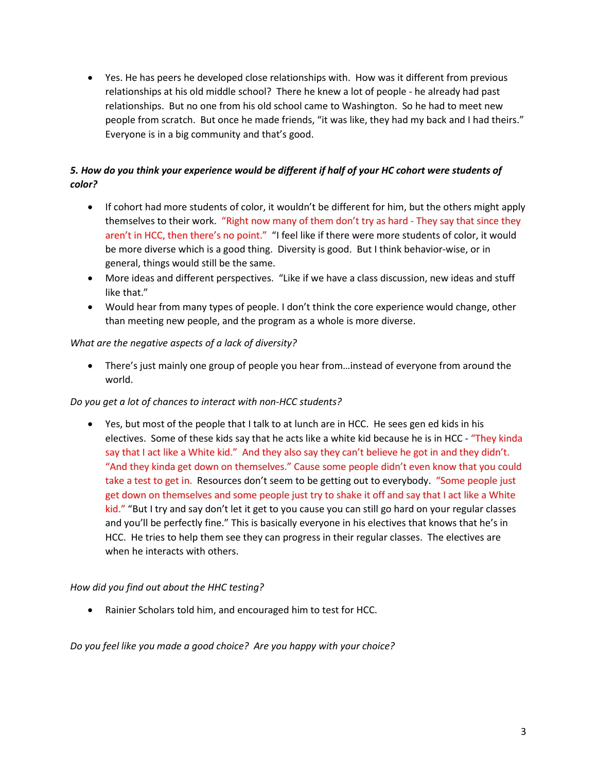• Yes. He has peers he developed close relationships with. How was it different from previous relationships at his old middle school? There he knew a lot of people - he already had past relationships. But no one from his old school came to Washington. So he had to meet new people from scratch. But once he made friends, "it was like, they had my back and I had theirs." Everyone is in a big community and that's good.

# *5. How do you think your experience would be different if half of your HC cohort were students of color?*

- If cohort had more students of color, it wouldn't be different for him, but the others might apply themselves to their work. "Right now many of them don't try as hard - They say that since they aren't in HCC, then there's no point." "I feel like if there were more students of color, it would be more diverse which is a good thing. Diversity is good. But I think behavior-wise, or in general, things would still be the same.
- More ideas and different perspectives. "Like if we have a class discussion, new ideas and stuff like that."
- Would hear from many types of people. I don't think the core experience would change, other than meeting new people, and the program as a whole is more diverse.

### *What are the negative aspects of a lack of diversity?*

• There's just mainly one group of people you hear from…instead of everyone from around the world.

### *Do you get a lot of chances to interact with non-HCC students?*

• Yes, but most of the people that I talk to at lunch are in HCC. He sees gen ed kids in his electives. Some of these kids say that he acts like a white kid because he is in HCC - "They kinda say that I act like a White kid." And they also say they can't believe he got in and they didn't. "And they kinda get down on themselves." Cause some people didn't even know that you could take a test to get in. Resources don't seem to be getting out to everybody. "Some people just get down on themselves and some people just try to shake it off and say that I act like a White kid." "But I try and say don't let it get to you cause you can still go hard on your regular classes and you'll be perfectly fine." This is basically everyone in his electives that knows that he's in HCC. He tries to help them see they can progress in their regular classes. The electives are when he interacts with others.

### *How did you find out about the HHC testing?*

• Rainier Scholars told him, and encouraged him to test for HCC.

*Do you feel like you made a good choice? Are you happy with your choice?*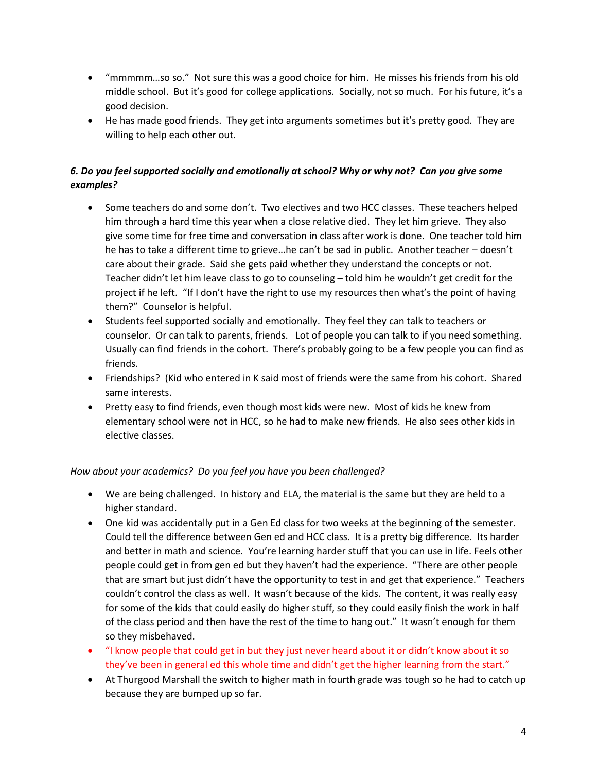- "mmmmm…so so." Not sure this was a good choice for him. He misses his friends from his old middle school. But it's good for college applications. Socially, not so much. For his future, it's a good decision.
- He has made good friends. They get into arguments sometimes but it's pretty good. They are willing to help each other out.

# *6. Do you feel supported socially and emotionally at school? Why or why not? Can you give some examples?*

- Some teachers do and some don't. Two electives and two HCC classes. These teachers helped him through a hard time this year when a close relative died. They let him grieve. They also give some time for free time and conversation in class after work is done. One teacher told him he has to take a different time to grieve…he can't be sad in public. Another teacher – doesn't care about their grade. Said she gets paid whether they understand the concepts or not. Teacher didn't let him leave class to go to counseling – told him he wouldn't get credit for the project if he left. "If I don't have the right to use my resources then what's the point of having them?" Counselor is helpful.
- Students feel supported socially and emotionally. They feel they can talk to teachers or counselor. Or can talk to parents, friends. Lot of people you can talk to if you need something. Usually can find friends in the cohort. There's probably going to be a few people you can find as friends.
- Friendships? (Kid who entered in K said most of friends were the same from his cohort. Shared same interests.
- Pretty easy to find friends, even though most kids were new. Most of kids he knew from elementary school were not in HCC, so he had to make new friends. He also sees other kids in elective classes.

### *How about your academics? Do you feel you have you been challenged?*

- We are being challenged. In history and ELA, the material is the same but they are held to a higher standard.
- One kid was accidentally put in a Gen Ed class for two weeks at the beginning of the semester. Could tell the difference between Gen ed and HCC class. It is a pretty big difference. Its harder and better in math and science. You're learning harder stuff that you can use in life. Feels other people could get in from gen ed but they haven't had the experience. "There are other people that are smart but just didn't have the opportunity to test in and get that experience." Teachers couldn't control the class as well. It wasn't because of the kids. The content, it was really easy for some of the kids that could easily do higher stuff, so they could easily finish the work in half of the class period and then have the rest of the time to hang out." It wasn't enough for them so they misbehaved.
- "I know people that could get in but they just never heard about it or didn't know about it so they've been in general ed this whole time and didn't get the higher learning from the start."
- At Thurgood Marshall the switch to higher math in fourth grade was tough so he had to catch up because they are bumped up so far.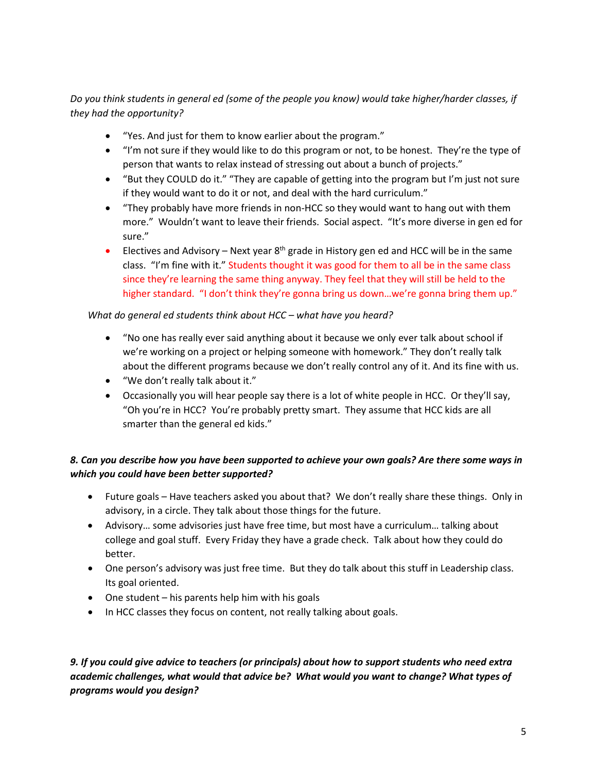*Do you think students in general ed (some of the people you know) would take higher/harder classes, if they had the opportunity?* 

- "Yes. And just for them to know earlier about the program."
- "I'm not sure if they would like to do this program or not, to be honest. They're the type of person that wants to relax instead of stressing out about a bunch of projects."
- "But they COULD do it." "They are capable of getting into the program but I'm just not sure if they would want to do it or not, and deal with the hard curriculum."
- "They probably have more friends in non-HCC so they would want to hang out with them more." Wouldn't want to leave their friends. Social aspect. "It's more diverse in gen ed for sure."
- Electives and Advisory Next year  $8<sup>th</sup>$  grade in History gen ed and HCC will be in the same class. "I'm fine with it." Students thought it was good for them to all be in the same class since they're learning the same thing anyway. They feel that they will still be held to the higher standard. "I don't think they're gonna bring us down...we're gonna bring them up."

### *What do general ed students think about HCC – what have you heard?*

- "No one has really ever said anything about it because we only ever talk about school if we're working on a project or helping someone with homework." They don't really talk about the different programs because we don't really control any of it. And its fine with us.
- "We don't really talk about it."
- Occasionally you will hear people say there is a lot of white people in HCC. Or they'll say, "Oh you're in HCC? You're probably pretty smart. They assume that HCC kids are all smarter than the general ed kids."

# *8. Can you describe how you have been supported to achieve your own goals? Are there some ways in which you could have been better supported?*

- Future goals Have teachers asked you about that? We don't really share these things. Only in advisory, in a circle. They talk about those things for the future.
- Advisory… some advisories just have free time, but most have a curriculum… talking about college and goal stuff. Every Friday they have a grade check. Talk about how they could do better.
- One person's advisory was just free time. But they do talk about this stuff in Leadership class. Its goal oriented.
- One student his parents help him with his goals
- In HCC classes they focus on content, not really talking about goals.

## *9. If you could give advice to teachers (or principals) about how to support students who need extra academic challenges, what would that advice be? What would you want to change? What types of programs would you design?*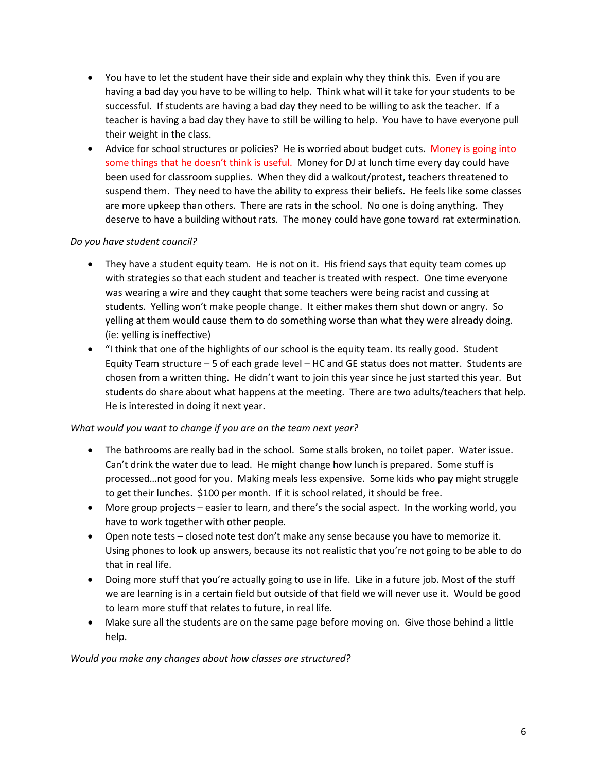- You have to let the student have their side and explain why they think this. Even if you are having a bad day you have to be willing to help. Think what will it take for your students to be successful. If students are having a bad day they need to be willing to ask the teacher. If a teacher is having a bad day they have to still be willing to help. You have to have everyone pull their weight in the class.
- Advice for school structures or policies? He is worried about budget cuts. Money is going into some things that he doesn't think is useful. Money for DJ at lunch time every day could have been used for classroom supplies. When they did a walkout/protest, teachers threatened to suspend them. They need to have the ability to express their beliefs. He feels like some classes are more upkeep than others. There are rats in the school. No one is doing anything. They deserve to have a building without rats. The money could have gone toward rat extermination.

#### *Do you have student council?*

- They have a student equity team. He is not on it. His friend says that equity team comes up with strategies so that each student and teacher is treated with respect. One time everyone was wearing a wire and they caught that some teachers were being racist and cussing at students. Yelling won't make people change. It either makes them shut down or angry. So yelling at them would cause them to do something worse than what they were already doing. (ie: yelling is ineffective)
- "I think that one of the highlights of our school is the equity team. Its really good. Student Equity Team structure – 5 of each grade level – HC and GE status does not matter. Students are chosen from a written thing. He didn't want to join this year since he just started this year. But students do share about what happens at the meeting. There are two adults/teachers that help. He is interested in doing it next year.

### *What would you want to change if you are on the team next year?*

- The bathrooms are really bad in the school. Some stalls broken, no toilet paper. Water issue. Can't drink the water due to lead. He might change how lunch is prepared. Some stuff is processed…not good for you. Making meals less expensive. Some kids who pay might struggle to get their lunches. \$100 per month. If it is school related, it should be free.
- More group projects easier to learn, and there's the social aspect. In the working world, you have to work together with other people.
- Open note tests closed note test don't make any sense because you have to memorize it. Using phones to look up answers, because its not realistic that you're not going to be able to do that in real life.
- Doing more stuff that you're actually going to use in life. Like in a future job. Most of the stuff we are learning is in a certain field but outside of that field we will never use it. Would be good to learn more stuff that relates to future, in real life.
- Make sure all the students are on the same page before moving on. Give those behind a little help.

*Would you make any changes about how classes are structured?*